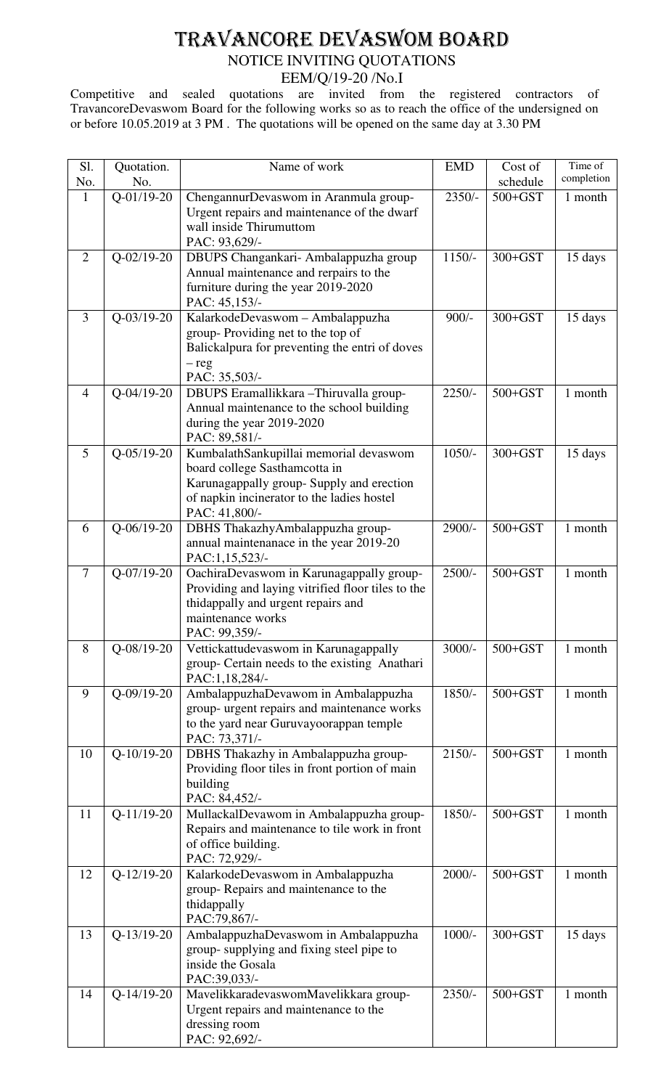## TRAVANCORE DEVASWOM BOARD

NOTICE INVITING QUOTATIONS

EEM/Q/19-20 /No.I

Competitive and sealed quotations are invited from the registered contractors of TravancoreDevaswom Board for the following works so as to reach the office of the undersigned on or before 10.05.2019 at 3 PM . The quotations will be opened on the same day at 3.30 PM

| Sl.            | Quotation.       | Name of work                                                                                  | <b>EMD</b> | Cost of     | Time of    |
|----------------|------------------|-----------------------------------------------------------------------------------------------|------------|-------------|------------|
| No.            | No.              |                                                                                               |            | schedule    | completion |
| $\mathbf{1}$   | $Q-01/19-20$     | ChengannurDevaswom in Aranmula group-                                                         | $2350/-$   | 500+GST     | 1 month    |
|                |                  | Urgent repairs and maintenance of the dwarf                                                   |            |             |            |
|                |                  | wall inside Thirumuttom                                                                       |            |             |            |
|                |                  | PAC: 93,629/-                                                                                 |            |             |            |
| $\overline{2}$ | $Q - 02/19 - 20$ | DBUPS Changankari- Ambalappuzha group                                                         | $1150/-$   | $300 + GST$ | 15 days    |
|                |                  | Annual maintenance and rerpairs to the                                                        |            |             |            |
|                |                  | furniture during the year 2019-2020                                                           |            |             |            |
| 3              |                  | PAC: 45,153/-                                                                                 | $900/-$    | $300 + GST$ |            |
|                | $Q - 03/19 - 20$ | KalarkodeDevaswom - Ambalappuzha<br>group-Providing net to the top of                         |            |             | 15 days    |
|                |                  | Balickalpura for preventing the entri of doves                                                |            |             |            |
|                |                  | $-$ reg                                                                                       |            |             |            |
|                |                  | PAC: 35,503/-                                                                                 |            |             |            |
| $\overline{4}$ | $Q - 04/19 - 20$ | DBUPS Eramallikkara - Thiruvalla group-                                                       | $2250/-$   | $500 + GST$ | 1 month    |
|                |                  | Annual maintenance to the school building                                                     |            |             |            |
|                |                  | during the year 2019-2020                                                                     |            |             |            |
|                |                  | PAC: 89,581/-                                                                                 |            |             |            |
| 5              | $Q - 05/19 - 20$ | KumbalathSankupillai memorial devaswom                                                        | $1050/-$   | $300 + GST$ | 15 days    |
|                |                  | board college Sasthamcotta in                                                                 |            |             |            |
|                |                  | Karunagappally group- Supply and erection                                                     |            |             |            |
|                |                  | of napkin incinerator to the ladies hostel                                                    |            |             |            |
|                |                  | PAC: 41,800/-                                                                                 |            |             |            |
| 6              | $Q - 06/19 - 20$ | DBHS ThakazhyAmbalappuzha group-                                                              | $2900/-$   | $500 + GST$ | 1 month    |
|                |                  | annual maintenanace in the year 2019-20                                                       |            |             |            |
| $\tau$         |                  | PAC:1,15,523/-                                                                                | $2500/-$   | $500 + GST$ |            |
|                | $Q - 07/19 - 20$ | OachiraDevaswom in Karunagappally group-<br>Providing and laying vitrified floor tiles to the |            |             | 1 month    |
|                |                  | thidappally and urgent repairs and                                                            |            |             |            |
|                |                  | maintenance works                                                                             |            |             |            |
|                |                  | PAC: 99,359/-                                                                                 |            |             |            |
| 8              | $Q - 08/19 - 20$ | Vettickattudevaswom in Karunagappally                                                         | 3000/-     | $500 + GST$ | 1 month    |
|                |                  | group- Certain needs to the existing Anathari                                                 |            |             |            |
|                |                  | PAC:1,18,284/-                                                                                |            |             |            |
| 9              | $Q - 09/19 - 20$ | AmbalappuzhaDevawom in Ambalappuzha                                                           | $1850/-$   | $500 + GST$ | 1 month    |
|                |                  | group- urgent repairs and maintenance works                                                   |            |             |            |
|                |                  | to the yard near Guruvayoorappan temple                                                       |            |             |            |
|                |                  | PAC: 73,371/-                                                                                 |            |             |            |
| 10             | $Q-10/19-20$     | DBHS Thakazhy in Ambalappuzha group-                                                          | $2150/-$   | $500 + GST$ | 1 month    |
|                |                  | Providing floor tiles in front portion of main                                                |            |             |            |
|                |                  | building<br>PAC: 84,452/-                                                                     |            |             |            |
| 11             | $Q-11/19-20$     | MullackalDevawom in Ambalappuzha group-                                                       | 1850/-     | $500 + GST$ | 1 month    |
|                |                  | Repairs and maintenance to tile work in front                                                 |            |             |            |
|                |                  | of office building.                                                                           |            |             |            |
|                |                  | PAC: 72,929/-                                                                                 |            |             |            |
| 12             | $Q-12/19-20$     | KalarkodeDevaswom in Ambalappuzha                                                             | $2000/-$   | $500 + GST$ | 1 month    |
|                |                  | group-Repairs and maintenance to the                                                          |            |             |            |
|                |                  | thidappally                                                                                   |            |             |            |
|                |                  | PAC:79,867/-                                                                                  |            |             |            |
| 13             | $Q-13/19-20$     | AmbalappuzhaDevaswom in Ambalappuzha                                                          | $1000/-$   | $300 + GST$ | 15 days    |
|                |                  | group-supplying and fixing steel pipe to                                                      |            |             |            |
|                |                  | inside the Gosala                                                                             |            |             |            |
|                |                  | PAC:39,033/-                                                                                  |            |             |            |
| 14             | $Q-14/19-20$     | MavelikkaradevaswomMavelikkara group-                                                         | $2350/-$   | $500 + GST$ | 1 month    |
|                |                  | Urgent repairs and maintenance to the<br>dressing room                                        |            |             |            |
|                |                  | PAC: 92,692/-                                                                                 |            |             |            |
|                |                  |                                                                                               |            |             |            |